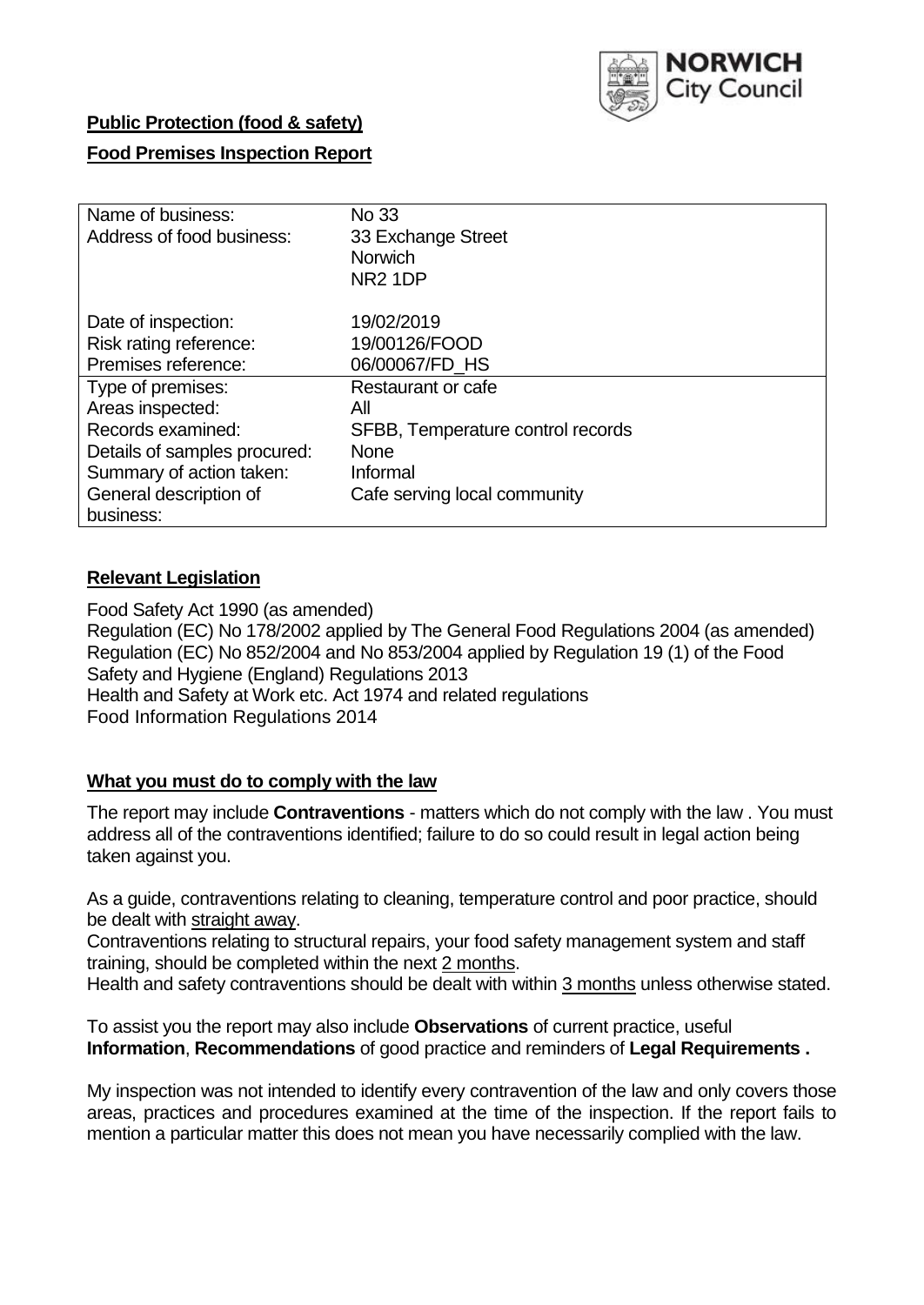

### **Public Protection (food & safety)**

## **Food Premises Inspection Report**

| Name of business:<br>Address of food business:                       | No 33<br>33 Exchange Street<br><b>Norwich</b><br>NR <sub>2</sub> 1DP |
|----------------------------------------------------------------------|----------------------------------------------------------------------|
| Date of inspection:<br>Risk rating reference:<br>Premises reference: | 19/02/2019<br>19/00126/FOOD<br>06/00067/FD HS                        |
| Type of premises:                                                    | Restaurant or cafe                                                   |
| Areas inspected:                                                     | All                                                                  |
| Records examined:                                                    | SFBB, Temperature control records                                    |
| Details of samples procured:                                         | <b>None</b>                                                          |
| Summary of action taken:                                             | Informal                                                             |
| General description of                                               | Cafe serving local community                                         |
| business:                                                            |                                                                      |

### **Relevant Legislation**

Food Safety Act 1990 (as amended) Regulation (EC) No 178/2002 applied by The General Food Regulations 2004 (as amended) Regulation (EC) No 852/2004 and No 853/2004 applied by Regulation 19 (1) of the Food Safety and Hygiene (England) Regulations 2013 Health and Safety at Work etc. Act 1974 and related regulations Food Information Regulations 2014

### **What you must do to comply with the law**

The report may include **Contraventions** - matters which do not comply with the law . You must address all of the contraventions identified; failure to do so could result in legal action being taken against you.

As a guide, contraventions relating to cleaning, temperature control and poor practice, should be dealt with straight away.

Contraventions relating to structural repairs, your food safety management system and staff training, should be completed within the next 2 months.

Health and safety contraventions should be dealt with within 3 months unless otherwise stated.

To assist you the report may also include **Observations** of current practice, useful **Information**, **Recommendations** of good practice and reminders of **Legal Requirements .**

My inspection was not intended to identify every contravention of the law and only covers those areas, practices and procedures examined at the time of the inspection. If the report fails to mention a particular matter this does not mean you have necessarily complied with the law.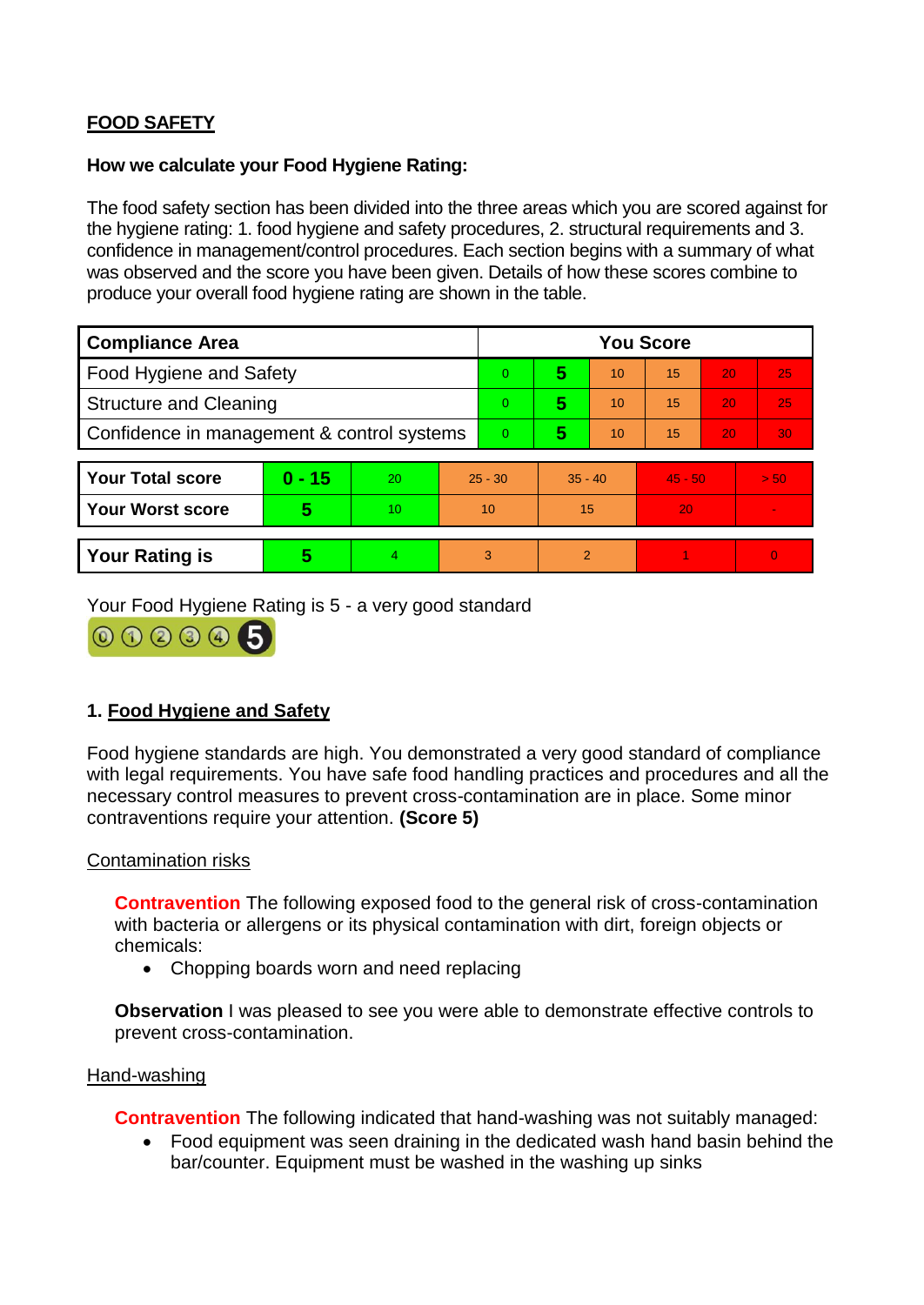# **FOOD SAFETY**

#### **How we calculate your Food Hygiene Rating:**

The food safety section has been divided into the three areas which you are scored against for the hygiene rating: 1. food hygiene and safety procedures, 2. structural requirements and 3. confidence in management/control procedures. Each section begins with a summary of what was observed and the score you have been given. Details of how these scores combine to produce your overall food hygiene rating are shown in the table.

| <b>Compliance Area</b>                     |          |                  |           | <b>You Score</b> |                |    |           |    |                |  |  |
|--------------------------------------------|----------|------------------|-----------|------------------|----------------|----|-----------|----|----------------|--|--|
| Food Hygiene and Safety                    |          |                  |           | 0                | 5              | 10 | 15        | 20 | 25             |  |  |
| <b>Structure and Cleaning</b>              |          |                  | $\Omega$  | 5                | 10             | 15 | 20        | 25 |                |  |  |
| Confidence in management & control systems |          |                  | $\Omega$  | 5                | 10             | 15 | 20        | 30 |                |  |  |
|                                            |          |                  |           |                  |                |    |           |    |                |  |  |
| <b>Your Total score</b>                    | $0 - 15$ | 20               | $25 - 30$ |                  | $35 - 40$      |    | $45 - 50$ |    | > 50           |  |  |
| <b>Your Worst score</b>                    | 5        | 10 <sup>10</sup> | 10        |                  | 15             |    | 20        |    | $\blacksquare$ |  |  |
|                                            |          |                  |           |                  |                |    |           |    |                |  |  |
| <b>Your Rating is</b>                      | 5        | 4                | 3         |                  | $\overline{2}$ |    |           |    | $\overline{0}$ |  |  |

Your Food Hygiene Rating is 5 - a very good standard



## **1. Food Hygiene and Safety**

Food hygiene standards are high. You demonstrated a very good standard of compliance with legal requirements. You have safe food handling practices and procedures and all the necessary control measures to prevent cross-contamination are in place. Some minor contraventions require your attention. **(Score 5)**

### Contamination risks

**Contravention** The following exposed food to the general risk of cross-contamination with bacteria or allergens or its physical contamination with dirt, foreign objects or chemicals:

• Chopping boards worn and need replacing

**Observation** I was pleased to see you were able to demonstrate effective controls to prevent cross-contamination.

#### Hand-washing

**Contravention** The following indicated that hand-washing was not suitably managed:

 Food equipment was seen draining in the dedicated wash hand basin behind the bar/counter. Equipment must be washed in the washing up sinks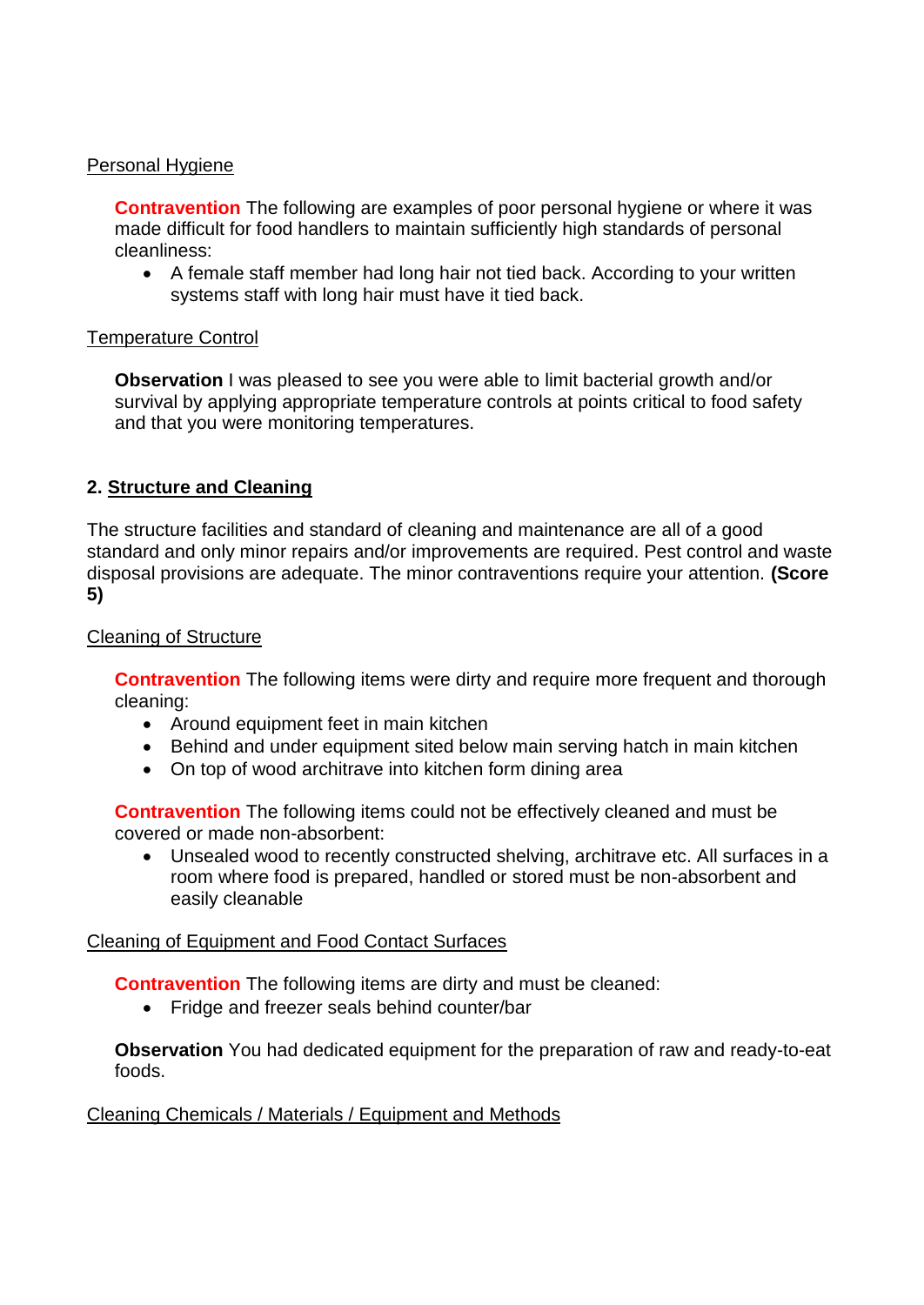### Personal Hygiene

**Contravention** The following are examples of poor personal hygiene or where it was made difficult for food handlers to maintain sufficiently high standards of personal cleanliness:

 A female staff member had long hair not tied back. According to your written systems staff with long hair must have it tied back.

### Temperature Control

**Observation I** was pleased to see you were able to limit bacterial growth and/or survival by applying appropriate temperature controls at points critical to food safety and that you were monitoring temperatures.

# **2. Structure and Cleaning**

The structure facilities and standard of cleaning and maintenance are all of a good standard and only minor repairs and/or improvements are required. Pest control and waste disposal provisions are adequate. The minor contraventions require your attention. **(Score 5)**

### Cleaning of Structure

**Contravention** The following items were dirty and require more frequent and thorough cleaning:

- Around equipment feet in main kitchen
- Behind and under equipment sited below main serving hatch in main kitchen
- On top of wood architrave into kitchen form dining area

**Contravention** The following items could not be effectively cleaned and must be covered or made non-absorbent:

 Unsealed wood to recently constructed shelving, architrave etc. All surfaces in a room where food is prepared, handled or stored must be non-absorbent and easily cleanable

### Cleaning of Equipment and Food Contact Surfaces

**Contravention** The following items are dirty and must be cleaned:

• Fridge and freezer seals behind counter/bar

**Observation** You had dedicated equipment for the preparation of raw and ready-to-eat foods.

### Cleaning Chemicals / Materials / Equipment and Methods